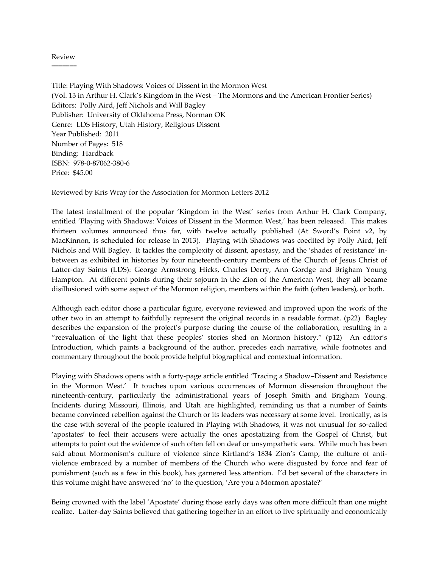## Review =======

Title: Playing With Shadows: Voices of Dissent in the Mormon West (Vol. 13 in Arthur H. Clark's Kingdom in the West – The Mormons and the American Frontier Series) Editors: Polly Aird, Jeff Nichols and Will Bagley Publisher: University of Oklahoma Press, Norman OK Genre: LDS History, Utah History, Religious Dissent Year Published: 2011 Number of Pages: 518 Binding: Hardback ISBN: 978-0-87062-380-6 Price: \$45.00

Reviewed by Kris Wray for the Association for Mormon Letters 2012

The latest installment of the popular 'Kingdom in the West' series from Arthur H. Clark Company, entitled 'Playing with Shadows: Voices of Dissent in the Mormon West,' has been released. This makes thirteen volumes announced thus far, with twelve actually published (At Sword's Point v2, by MacKinnon, is scheduled for release in 2013). Playing with Shadows was coedited by Polly Aird, Jeff Nichols and Will Bagley. It tackles the complexity of dissent, apostasy, and the 'shades of resistance' inbetween as exhibited in histories by four nineteenth-century members of the Church of Jesus Christ of Latter-day Saints (LDS): George Armstrong Hicks, Charles Derry, Ann Gordge and Brigham Young Hampton. At different points during their sojourn in the Zion of the American West, they all became disillusioned with some aspect of the Mormon religion, members within the faith (often leaders), or both.

Although each editor chose a particular figure, everyone reviewed and improved upon the work of the other two in an attempt to faithfully represent the original records in a readable format. (p22) Bagley describes the expansion of the project's purpose during the course of the collaboration, resulting in a 'reevaluation of the light that these peoples' stories shed on Mormon history.' (p12) An editor's Introduction, which paints a background of the author, precedes each narrative, while footnotes and commentary throughout the book provide helpful biographical and contextual information.

Playing with Shadows opens with a forty-page article entitled 'Tracing a Shadow–Dissent and Resistance in the Mormon West.' It touches upon various occurrences of Mormon dissension throughout the nineteenth-century, particularly the administrational years of Joseph Smith and Brigham Young. Incidents during Missouri, Illinois, and Utah are highlighted, reminding us that a number of Saints became convinced rebellion against the Church or its leaders was necessary at some level. Ironically, as is the case with several of the people featured in Playing with Shadows, it was not unusual for so-called 'apostates' to feel their accusers were actually the ones apostatizing from the Gospel of Christ, but attempts to point out the evidence of such often fell on deaf or unsympathetic ears. While much has been said about Mormonism's culture of violence since Kirtland's 1834 Zion's Camp, the culture of antiviolence embraced by a number of members of the Church who were disgusted by force and fear of punishment (such as a few in this book), has garnered less attention. I'd bet several of the characters in this volume might have answered 'no' to the question, 'Are you a Mormon apostate?'

Being crowned with the label 'Apostate' during those early days was often more difficult than one might realize. Latter-day Saints believed that gathering together in an effort to live spiritually and economically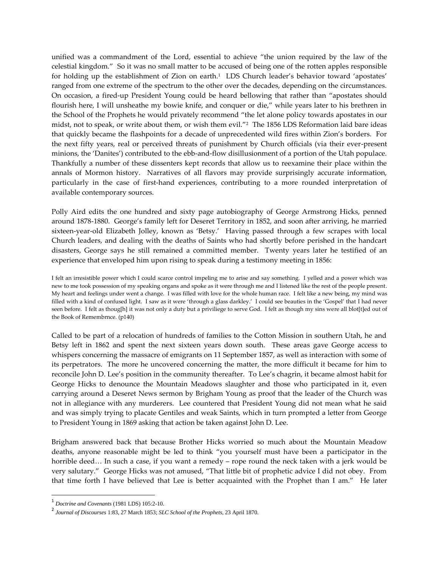unified was a commandment of the Lord, essential to achieve 'the union required by the law of the celestial kingdom.' So it was no small matter to be accused of being one of the rotten apples responsible for holding up the establishment of Zion on earth.<sup>1</sup> LDS Church leader's behavior toward 'apostates' ranged from one extreme of the spectrum to the other over the decades, depending on the circumstances. On occasion, a fired-up President Young could be heard bellowing that rather than 'apostates should flourish here, I will unsheathe my bowie knife, and conquer or die,' while years later to his brethren in the School of the Prophets he would privately recommend 'the let alone policy towards apostates in our midst, not to speak, or write about them, or wish them evil." $^2$  The 1856 LDS Reformation laid bare ideas that quickly became the flashpoints for a decade of unprecedented wild fires within Zion's borders. For the next fifty years, real or perceived threats of punishment by Church officials (via their ever-present minions, the 'Danites') contributed to the ebb-and-flow disillusionment of a portion of the Utah populace. Thankfully a number of these dissenters kept records that allow us to reexamine their place within the annals of Mormon history. Narratives of all flavors may provide surprisingly accurate information, particularly in the case of first-hand experiences, contributing to a more rounded interpretation of available contemporary sources.

Polly Aird edits the one hundred and sixty page autobiography of George Armstrong Hicks, penned around 1878-1880. George's family left for Deseret Territory in 1852, and soon after arriving, he married sixteen-year-old Elizabeth Jolley, known as 'Betsy.' Having passed through a few scrapes with local Church leaders, and dealing with the deaths of Saints who had shortly before perished in the handcart disasters, George says he still remained a committed member. Twenty years later he testified of an experience that enveloped him upon rising to speak during a testimony meeting in 1856:

I felt an irresistible power which I could scarce control impeling me to arise and say something. I yelled and a power which was new to me took possession of my speaking organs and spoke as it were through me and I listened like the rest of the people present. My heart and feelings under went a change. I was filled with love for the whole human race. I felt like a new being, my mind was filled with a kind of confused light. I saw as it were 'through a glass darkley.' I could see beauties in the 'Gospel' that I had never seen before. I felt as thoug[h] it was not only a duty but a priviliege to serve God. I felt as though my sins were all blot[t]ed out of the Book of Remembrnce. (p140)

Called to be part of a relocation of hundreds of families to the Cotton Mission in southern Utah, he and Betsy left in 1862 and spent the next sixteen years down south. These areas gave George access to whispers concerning the massacre of emigrants on 11 September 1857, as well as interaction with some of its perpetrators. The more he uncovered concerning the matter, the more difficult it became for him to reconcile John D. Lee's position in the community thereafter. To Lee's chagrin, it became almost habit for George Hicks to denounce the Mountain Meadows slaughter and those who participated in it, even carrying around a Deseret News sermon by Brigham Young as proof that the leader of the Church was not in allegiance with any murderers. Lee countered that President Young did not mean what he said and was simply trying to placate Gentiles and weak Saints, which in turn prompted a letter from George to President Young in 1869 asking that action be taken against John D. Lee.

Brigham answered back that because Brother Hicks worried so much about the Mountain Meadow deaths, anyone reasonable might be led to think 'you yourself must have been a participator in the horrible deed... In such a case, if you want a remedy – rope round the neck taken with a jerk would be very salutary.' George Hicks was not amused, 'That little bit of prophetic advice I did not obey. From that time forth I have believed that Lee is better acquainted with the Prophet than I am.' He later

<sup>1</sup> *Doctrine and Covenants* (1981 LDS) 105:2-10.

<sup>2</sup> *Journal of Discourses* 1:83, 27 March 1853; *SLC School of the Prophets*, 23 April 1870.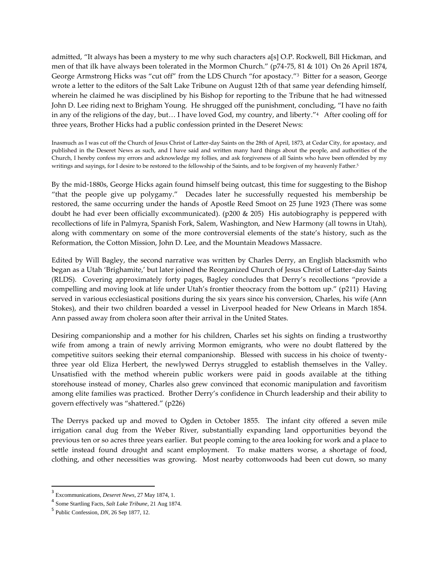admitted, "It always has been a mystery to me why such characters a[s] O.P. Rockwell, Bill Hickman, and men of that ilk have always been tolerated in the Mormon Church.' (p74-75, 81 & 101) On 26 April 1874, George Armstrong Hicks was 'cut off' from the LDS Church 'for apostacy.'<sup>3</sup> Bitter for a season, George wrote a letter to the editors of the Salt Lake Tribune on August 12th of that same year defending himself, wherein he claimed he was disciplined by his Bishop for reporting to the Tribune that he had witnessed John D. Lee riding next to Brigham Young. He shrugged off the punishment, concluding, 'I have no faith in any of the religions of the day, but... I have loved God, my country, and liberty."4 After cooling off for three years, Brother Hicks had a public confession printed in the Deseret News:

Inasmuch as I was cut off the Church of Jesus Christ of Latter-day Saints on the 28th of April, 1873, at Cedar City, for apostacy, and published in the Deseret News as such, and I have said and written many hard things about the people, and authorities of the Church, I hereby confess my errors and acknowledge my follies, and ask forgiveness of all Saints who have been offended by my writings and sayings, for I desire to be restored to the fellowship of the Saints, and to be forgiven of my heavenly Father.<sup>5</sup>

By the mid-1880s, George Hicks again found himself being outcast, this time for suggesting to the Bishop 'that the people give up polygamy.' Decades later he successfully requested his membership be restored, the same occurring under the hands of Apostle Reed Smoot on 25 June 1923 (There was some doubt he had ever been officially excommunicated). (p200 & 205) His autobiography is peppered with recollections of life in Palmyra, Spanish Fork, Salem, Washington, and New Harmony (all towns in Utah), along with commentary on some of the more controversial elements of the state's history, such as the Reformation, the Cotton Mission, John D. Lee, and the Mountain Meadows Massacre.

Edited by Will Bagley, the second narrative was written by Charles Derry, an English blacksmith who began as a Utah 'Brighamite,' but later joined the Reorganized Church of Jesus Christ of Latter-day Saints (RLDS). Covering approximately forty pages, Bagley concludes that Derry's recollections 'provide a compelling and moving look at life under Utah's frontier theocracy from the bottom up.' (p211) Having served in various ecclesiastical positions during the six years since his conversion, Charles, his wife (Ann Stokes), and their two children boarded a vessel in Liverpool headed for New Orleans in March 1854. Ann passed away from cholera soon after their arrival in the United States.

Desiring companionship and a mother for his children, Charles set his sights on finding a trustworthy wife from among a train of newly arriving Mormon emigrants, who were no doubt flattered by the competitive suitors seeking their eternal companionship. Blessed with success in his choice of twentythree year old Eliza Herbert, the newlywed Derrys struggled to establish themselves in the Valley. Unsatisfied with the method wherein public workers were paid in goods available at the tithing storehouse instead of money, Charles also grew convinced that economic manipulation and favoritism among elite families was practiced. Brother Derry's confidence in Church leadership and their ability to govern effectively was 'shattered.' (p226)

The Derrys packed up and moved to Ogden in October 1855. The infant city offered a seven mile irrigation canal dug from the Weber River, substantially expanding land opportunities beyond the previous ten or so acres three years earlier. But people coming to the area looking for work and a place to settle instead found drought and scant employment. To make matters worse, a shortage of food, clothing, and other necessities was growing. Most nearby cottonwoods had been cut down, so many

 $\overline{\phantom{a}}$ 

<sup>3</sup> Excommunications, *Deseret News*, 27 May 1874, 1.

<sup>4</sup> Some Startling Facts, *Salt Lake Tribune*, 21 Aug 1874.

<sup>5</sup> Public Confession, *DN*, 26 Sep 1877, 12.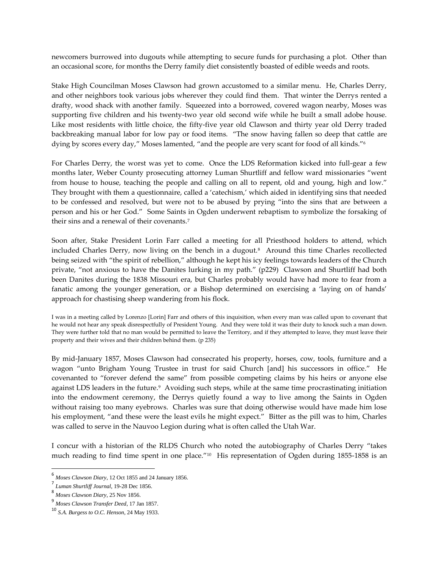newcomers burrowed into dugouts while attempting to secure funds for purchasing a plot. Other than an occasional score, for months the Derry family diet consistently boasted of edible weeds and roots.

Stake High Councilman Moses Clawson had grown accustomed to a similar menu. He, Charles Derry, and other neighbors took various jobs wherever they could find them. That winter the Derrys rented a drafty, wood shack with another family. Squeezed into a borrowed, covered wagon nearby, Moses was supporting five children and his twenty-two year old second wife while he built a small adobe house. Like most residents with little choice, the fifty-five year old Clawson and thirty year old Derry traded backbreaking manual labor for low pay or food items. 'The snow having fallen so deep that cattle are dying by scores every day," Moses lamented, "and the people are very scant for food of all kinds."<sup>6</sup>

For Charles Derry, the worst was yet to come. Once the LDS Reformation kicked into full-gear a few months later, Weber County prosecuting attorney Luman Shurtliff and fellow ward missionaries 'went from house to house, teaching the people and calling on all to repent, old and young, high and low.' They brought with them a questionnaire, called a 'catechism,' which aided in identifying sins that needed to be confessed and resolved, but were not to be abused by prying 'into the sins that are between a person and his or her God.' Some Saints in Ogden underwent rebaptism to symbolize the forsaking of their sins and a renewal of their covenants.<sup>7</sup>

Soon after, Stake President Lorin Farr called a meeting for all Priesthood holders to attend, which included Charles Derry, now living on the bench in a dugout.<sup>8</sup> Around this time Charles recollected being seized with 'the spirit of rebellion,' although he kept his icy feelings towards leaders of the Church private, 'not anxious to have the Danites lurking in my path.' (p229) Clawson and Shurtliff had both been Danites during the 1838 Missouri era, but Charles probably would have had more to fear from a fanatic among the younger generation, or a Bishop determined on exercising a 'laying on of hands' approach for chastising sheep wandering from his flock.

I was in a meeting called by Lorenzo [Lorin] Farr and others of this inquisition, when every man was called upon to covenant that he would not hear any speak disrespectfully of President Young. And they were told it was their duty to knock such a man down. They were further told that no man would be permitted to leave the Territory, and if they attempted to leave, they must leave their property and their wives and their children behind them. (p 235)

By mid-January 1857, Moses Clawson had consecrated his property, horses, cow, tools, furniture and a wagon "unto Brigham Young Trustee in trust for said Church [and] his successors in office." He covenanted to 'forever defend the same' from possible competing claims by his heirs or anyone else against LDS leaders in the future.<sup>9</sup> Avoiding such steps, while at the same time procrastinating initiation into the endowment ceremony, the Derrys quietly found a way to live among the Saints in Ogden without raising too many eyebrows. Charles was sure that doing otherwise would have made him lose his employment, "and these were the least evils he might expect." Bitter as the pill was to him, Charles was called to serve in the Nauvoo Legion during what is often called the Utah War.

I concur with a historian of the RLDS Church who noted the autobiography of Charles Derry 'takes much reading to find time spent in one place.'<sup>10</sup> His representation of Ogden during 1855-1858 is an

<sup>6</sup> *Moses Clawson Diary*, 12 Oct 1855 and 24 January 1856.

<sup>7</sup> *Luman Shurtliff Journal*, 19-28 Dec 1856.

<sup>8</sup> *Moses Clawson Diary*, 25 Nov 1856.

<sup>9</sup> *Moses Clawson Transfer Deed*, 17 Jan 1857.

<sup>10</sup> *S.A. Burgess to O.C. Henson*, 24 May 1933.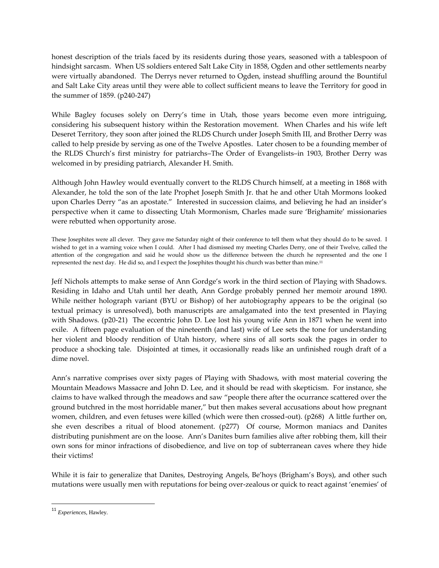honest description of the trials faced by its residents during those years, seasoned with a tablespoon of hindsight sarcasm. When US soldiers entered Salt Lake City in 1858, Ogden and other settlements nearby were virtually abandoned. The Derrys never returned to Ogden, instead shuffling around the Bountiful and Salt Lake City areas until they were able to collect sufficient means to leave the Territory for good in the summer of 1859. (p240-247)

While Bagley focuses solely on Derry's time in Utah, those years become even more intriguing, considering his subsequent history within the Restoration movement. When Charles and his wife left Deseret Territory, they soon after joined the RLDS Church under Joseph Smith III, and Brother Derry was called to help preside by serving as one of the Twelve Apostles. Later chosen to be a founding member of the RLDS Church's first ministry for patriarchs–The Order of Evangelists–in 1903, Brother Derry was welcomed in by presiding patriarch, Alexander H. Smith.

Although John Hawley would eventually convert to the RLDS Church himself, at a meeting in 1868 with Alexander, he told the son of the late Prophet Joseph Smith Jr. that he and other Utah Mormons looked upon Charles Derry 'as an apostate.' Interested in succession claims, and believing he had an insider's perspective when it came to dissecting Utah Mormonism, Charles made sure 'Brighamite' missionaries were rebutted when opportunity arose.

These Josephites were all clever. They gave me Saturday night of their conference to tell them what they should do to be saved. I wished to get in a warning voice when I could. After I had dismissed my meeting Charles Derry, one of their Twelve, called the attention of the congregation and said he would show us the difference between the church he represented and the one I represented the next day. He did so, and I expect the Josephites thought his church was better than mine.<sup>11</sup>

Jeff Nichols attempts to make sense of Ann Gordge's work in the third section of Playing with Shadows. Residing in Idaho and Utah until her death, Ann Gordge probably penned her memoir around 1890. While neither holograph variant (BYU or Bishop) of her autobiography appears to be the original (so textual primacy is unresolved), both manuscripts are amalgamated into the text presented in Playing with Shadows. (p20-21) The eccentric John D. Lee lost his young wife Ann in 1871 when he went into exile. A fifteen page evaluation of the nineteenth (and last) wife of Lee sets the tone for understanding her violent and bloody rendition of Utah history, where sins of all sorts soak the pages in order to produce a shocking tale. Disjointed at times, it occasionally reads like an unfinished rough draft of a dime novel.

Ann's narrative comprises over sixty pages of Playing with Shadows, with most material covering the Mountain Meadows Massacre and John D. Lee, and it should be read with skepticism. For instance, she claims to have walked through the meadows and saw 'people there after the ocurrance scattered over the ground butchred in the most horridable maner,' but then makes several accusations about how pregnant women, children, and even fetuses were killed (which were then crossed-out). (p268) A little further on, she even describes a ritual of blood atonement. (p277) Of course, Mormon maniacs and Danites distributing punishment are on the loose. Ann's Danites burn families alive after robbing them, kill their own sons for minor infractions of disobedience, and live on top of subterranean caves where they hide their victims!

While it is fair to generalize that Danites, Destroying Angels, Be'hoys (Brigham's Boys), and other such mutations were usually men with reputations for being over-zealous or quick to react against 'enemies' of

 $\overline{\phantom{a}}$ 

<sup>11</sup> *Experiences*, Hawley.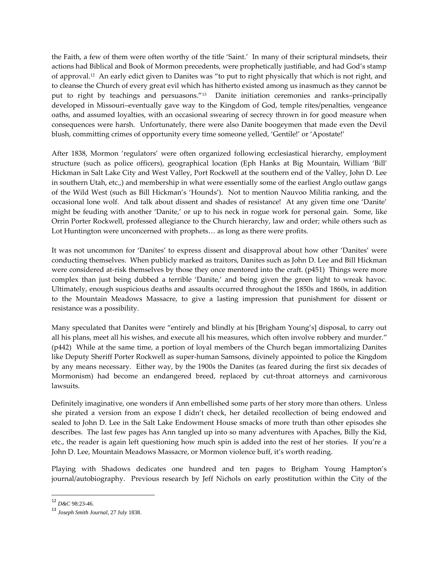the Faith, a few of them were often worthy of the title 'Saint.' In many of their scriptural mindsets, their actions had Biblical and Book of Mormon precedents, were prophetically justifiable, and had God's stamp of approval.<sup>12</sup> An early edict given to Danites was 'to put to right physically that which is not right, and to cleanse the Church of every great evil which has hitherto existed among us inasmuch as they cannot be put to right by teachings and persuasons.'<sup>13</sup> Danite initiation ceremonies and ranks–principally developed in Missouri–eventually gave way to the Kingdom of God, temple rites/penalties, vengeance oaths, and assumed loyalties, with an occasional swearing of secrecy thrown in for good measure when consequences were harsh. Unfortunately, there were also Danite boogeymen that made even the Devil blush, committing crimes of opportunity every time someone yelled, 'Gentile!' or 'Apostate!'

After 1838, Mormon 'regulators' were often organized following ecclesiastical hierarchy, employment structure (such as police officers), geographical location (Eph Hanks at Big Mountain, William 'Bill' Hickman in Salt Lake City and West Valley, Port Rockwell at the southern end of the Valley, John D. Lee in southern Utah, etc.,) and membership in what were essentially some of the earliest Anglo outlaw gangs of the Wild West (such as Bill Hickman's 'Hounds'). Not to mention Nauvoo Militia ranking, and the occasional lone wolf. And talk about dissent and shades of resistance! At any given time one 'Danite' might be feuding with another 'Danite,' or up to his neck in rogue work for personal gain. Some, like Orrin Porter Rockwell, professed allegiance to the Church hierarchy, law and order; while others such as Lot Huntington were unconcerned with prophets... as long as there were profits.

It was not uncommon for 'Danites' to express dissent and disapproval about how other 'Danites' were conducting themselves. When publicly marked as traitors, Danites such as John D. Lee and Bill Hickman were considered at-risk themselves by those they once mentored into the craft. (p451) Things were more complex than just being dubbed a terrible 'Danite,' and being given the green light to wreak havoc. Ultimately, enough suspicious deaths and assaults occurred throughout the 1850s and 1860s, in addition to the Mountain Meadows Massacre, to give a lasting impression that punishment for dissent or resistance was a possibility.

Many speculated that Danites were "entirely and blindly at his [Brigham Young's] disposal, to carry out all his plans, meet all his wishes, and execute all his measures, which often involve robbery and murder.' (p442) While at the same time, a portion of loyal members of the Church began immortalizing Danites like Deputy Sheriff Porter Rockwell as super-human Samsons, divinely appointed to police the Kingdom by any means necessary. Either way, by the 1900s the Danites (as feared during the first six decades of Mormonism) had become an endangered breed, replaced by cut-throat attorneys and carnivorous lawsuits.

Definitely imaginative, one wonders if Ann embellished some parts of her story more than others. Unless she pirated a version from an expose I didn't check, her detailed recollection of being endowed and sealed to John D. Lee in the Salt Lake Endowment House smacks of more truth than other episodes she describes. The last few pages has Ann tangled up into so many adventures with Apaches, Billy the Kid, etc., the reader is again left questioning how much spin is added into the rest of her stories. If you're a John D. Lee, Mountain Meadows Massacre, or Mormon violence buff, it's worth reading.

Playing with Shadows dedicates one hundred and ten pages to Brigham Young Hampton's journal/autobiography. Previous research by Jeff Nichols on early prostitution within the City of the

<sup>12</sup> *D&C* 98:23-46.

<sup>13</sup> *Joseph Smith Journal*, 27 July 1838.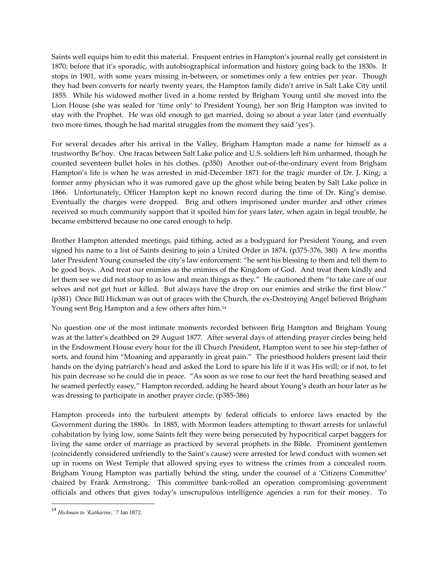Saints well equips him to edit this material. Frequent entries in Hampton's journal really get consistent in 1870; before that it's sporadic, with autobiographical information and history going back to the 1830s. It stops in 1901, with some years missing in-between, or sometimes only a few entries per year. Though they had been converts for nearly twenty years, the Hampton family didn't arrive in Salt Lake City until 1855. While his widowed mother lived in a home rented by Brigham Young until she moved into the Lion House (she was sealed for 'time only' to President Young), her son Brig Hampton was invited to stay with the Prophet. He was old enough to get married, doing so about a year later (and eventually two more times, though he had marital struggles from the moment they said 'yes').

For several decades after his arrival in the Valley, Brigham Hampton made a name for himself as a trustworthy Be'hoy. One fracas between Salt Lake police and U.S. soldiers left him unharmed, though he counted seventeen bullet holes in his clothes. (p350) Another out-of-the-ordinary event from Brigham Hampton's life is when he was arrested in mid-December 1871 for the tragic murder of Dr. J. King; a former army physician who it was rumored gave up the ghost while being beaten by Salt Lake police in 1866. Unfortunately, Officer Hampton kept no known record during the time of Dr. King's demise. Eventually the charges were dropped. Brig and others imprisoned under murder and other crimes received so much community support that it spoiled him for years later, when again in legal trouble, he became embittered because no one cared enough to help.

Brother Hampton attended meetings, paid tithing, acted as a bodyguard for President Young, and even signed his name to a list of Saints desiring to join a United Order in 1874. (p375-376, 380) A few months later President Young counseled the city's law enforcement: 'he sent his blessing to them and tell them to be good boys. And treat our enimies as the enimies of the Kingdom of God. And treat them kindly and let them see we did not stoop to as low and mean things as they.' He cautioned them 'to take care of our selves and not get hurt or killed. But always have the drop on our enimies and strike the first blow.' (p381) Once Bill Hickman was out of graces with the Church, the ex-Destroying Angel believed Brigham Young sent Brig Hampton and a few others after him.<sup>14</sup>

No question one of the most intimate moments recorded between Brig Hampton and Brigham Young was at the latter's deathbed on 29 August 1877. After several days of attending prayer circles being held in the Endowment House every hour for the ill Church President, Hampton went to see his step-father of sorts, and found him 'Moaning and apparantly in great pain.' The priesthood holders present laid their hands on the dying patriarch's head and asked the Lord to spare his life if it was His will; or if not, to let his pain decrease so he could die in peace. "As soon as we rose to our feet the hard breathing seased and he seamed perfectly easey,' Hampton recorded, adding he heard about Young's death an hour later as he was dressing to participate in another prayer circle. (p385-386)

Hampton proceeds into the turbulent attempts by federal officials to enforce laws enacted by the Government during the 1880s. In 1885, with Mormon leaders attempting to thwart arrests for unlawful cohabitation by lying low, some Saints felt they were being persecuted by hypocritical carpet baggers for living the same order of marriage as practiced by several prophets in the Bible. Prominent gentlemen (coincidently considered unfriendly to the Saint's cause) were arrested for lewd conduct with women set up in rooms on West Temple that allowed spying eyes to witness the crimes from a concealed room. Brigham Young Hampton was partially behind the sting, under the counsel of a 'Citizens Committee' chaired by Frank Armstrong. This committee bank-rolled an operation compromising government officials and others that gives today's unscrupulous intelligence agencies a run for their money. To

 $\overline{\phantom{a}}$ 

<sup>14</sup> *Hickman to 'Katharine*,*'* 7 Jan 1872.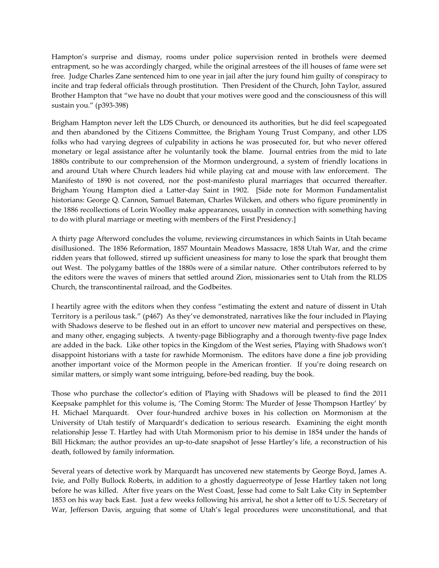Hampton's surprise and dismay, rooms under police supervision rented in brothels were deemed entrapment, so he was accordingly charged, while the original arrestees of the ill houses of fame were set free. Judge Charles Zane sentenced him to one year in jail after the jury found him guilty of conspiracy to incite and trap federal officials through prostitution. Then President of the Church, John Taylor, assured Brother Hampton that 'we have no doubt that your motives were good and the consciousness of this will sustain you.' (p393-398)

Brigham Hampton never left the LDS Church, or denounced its authorities, but he did feel scapegoated and then abandoned by the Citizens Committee, the Brigham Young Trust Company, and other LDS folks who had varying degrees of culpability in actions he was prosecuted for, but who never offered monetary or legal assistance after he voluntarily took the blame. Journal entries from the mid to late 1880s contribute to our comprehension of the Mormon underground, a system of friendly locations in and around Utah where Church leaders hid while playing cat and mouse with law enforcement. The Manifesto of 1890 is not covered, nor the post-manifesto plural marriages that occurred thereafter. Brigham Young Hampton died a Latter-day Saint in 1902. [Side note for Mormon Fundamentalist historians: George Q. Cannon, Samuel Bateman, Charles Wilcken, and others who figure prominently in the 1886 recollections of Lorin Woolley make appearances, usually in connection with something having to do with plural marriage or meeting with members of the First Presidency.]

A thirty page Afterword concludes the volume, reviewing circumstances in which Saints in Utah became disillusioned. The 1856 Reformation, 1857 Mountain Meadows Massacre, 1858 Utah War, and the crime ridden years that followed, stirred up sufficient uneasiness for many to lose the spark that brought them out West. The polygamy battles of the 1880s were of a similar nature. Other contributors referred to by the editors were the waves of miners that settled around Zion, missionaries sent to Utah from the RLDS Church, the transcontinental railroad, and the Godbeites.

I heartily agree with the editors when they confess 'estimating the extent and nature of dissent in Utah Territory is a perilous task.' (p467) As they've demonstrated, narratives like the four included in Playing with Shadows deserve to be fleshed out in an effort to uncover new material and perspectives on these, and many other, engaging subjects. A twenty-page Bibliography and a thorough twenty-five page Index are added in the back. Like other topics in the Kingdom of the West series, Playing with Shadows won't disappoint historians with a taste for rawhide Mormonism. The editors have done a fine job providing another important voice of the Mormon people in the American frontier. If you're doing research on similar matters, or simply want some intriguing, before-bed reading, buy the book.

Those who purchase the collector's edition of Playing with Shadows will be pleased to find the 2011 Keepsake pamphlet for this volume is, 'The Coming Storm: The Murder of Jesse Thompson Hartley' by H. Michael Marquardt. Over four-hundred archive boxes in his collection on Mormonism at the University of Utah testify of Marquardt's dedication to serious research. Examining the eight month relationship Jesse T. Hartley had with Utah Mormonism prior to his demise in 1854 under the hands of Bill Hickman; the author provides an up-to-date snapshot of Jesse Hartley's life, a reconstruction of his death, followed by family information.

Several years of detective work by Marquardt has uncovered new statements by George Boyd, James A. Ivie, and Polly Bullock Roberts, in addition to a ghostly daguerreotype of Jesse Hartley taken not long before he was killed. After five years on the West Coast, Jesse had come to Salt Lake City in September 1853 on his way back East. Just a few weeks following his arrival, he shot a letter off to U.S. Secretary of War, Jefferson Davis, arguing that some of Utah's legal procedures were unconstitutional, and that